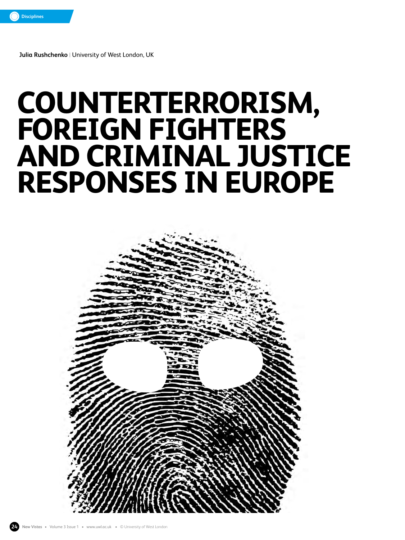

**Julia Rushchenko** | University of West London, UK

# **COUNTERTERRORISM, FOREIGN FIGHTERS AND CRIMINAL JUSTICE RESPONSES IN EUROPE**

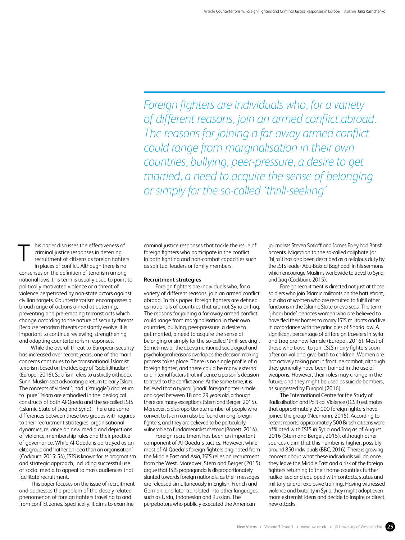*Foreign fighters are individuals who, for a variety of different reasons, join an armed conflict abroad. The reasons for joining a far-away armed conflict could range from marginalisation in their own countries, bullying, peer-pressure, a desire to get married, a need to acquire the sense of belonging or simply for the so-called 'thrill-seeking'*

his paper discusses the effectiveness of criminal justice responses in deterring recruitment of citizens as foreign fighters in places of conflict. Although there is no consensus on the definition of terrorism among national laws, this term is usually used to point to politically motivated violence or a threat of violence perpetrated by non-state actors against civilian targets. Counterterrorism encompasses a broad range of actions aimed at deterring, preventing and pre-empting terrorist acts which change according to the nature of security threats. Because terrorism threats constantly evolve, it is important to continue reviewing, strengthening and adapting counterterrorism responses. T

While the overall threat to European security has increased over recent years, one of the main concerns continues to be transnational Islamist terrorism based on the ideology of 'Salafi Jihadism' (Europol, 2016). Salafism refers to a strictly orthodox Sunni Muslim sect advocating a return to early Islam. The concepts of violent 'jihad' ('struggle') and return to 'pure' Islam are embodied in the ideological constructs of both Al-Qaeda and the so-called ISIS (Islamic State of Iraq and Syria). There are some differences between these two groups with regards to their recruitment strategies, organisational dynamics, reliance on new media and depictions of violence, membership rules and their practice of governance. While Al-Qaeda is portrayed as an elite group and 'rather an idea than an organisation' (Cockburn, 2015: 54), ISIS is known for its pragmatism and strategic approach, including successful use of social media to appeal to mass audiences that facilitate recruitment.

This paper focuses on the issue of recruitment and addresses the problem of the closely related phenomenon of foreign fighters traveling to and from conflict zones. Specifically, it aims to examine

criminal justice responses that tackle the issue of foreign fighters who participate in the conflict in both fighting and non-combat capacities such as spiritual leaders or family members.

## **Recruitment strategies**

Foreign fighters are individuals who, for a variety of different reasons, join an armed conflict abroad. In this paper, foreign fighters are defined as nationals of countries that are not Syria or Iraq. The reasons for joining a far-away armed conflict could range from marginalisation in their own countries, bullying, peer-pressure, a desire to get married, a need to acquire the sense of belonging or simply for the so-called 'thrill-seeking'. Sometimes all the abovementioned sociological and psychological reasons overlap as the decision-making process takes place. There is no single profile of a foreign fighter, and there could be many external and internal factors that influence a person's decision to travel to the conflict zone. At the same time, it is believed that a typical 'jihadi' foreign fighter is male, and aged between 18 and 29 years old, although there are many exceptions (Stern and Berger, 2015). Moreover, a disproportionate number of people who convert to Islam can also be found among foreign fighters, and they are believed to be particularly vulnerable to fundamentalist rhetoric (Barrett, 2014).

Foreign recruitment has been an important component of Al-Qaeda's tactics. However, while most of Al-Qaeda's foreign fighters originated from the Middle East and Asia, ISIS relies on recruitment from the West. Moreover, Stern and Berger (2015) argue that ISIS propaganda is disproportionately slanted towards foreign nationals, as their messages are released simultaneously in English, French and German, and later translated into other languages, such as Urdu, Indonesian and Russian. The perpetrators who publicly executed the American

journalists Steven Sotloff and James Foley had British accents. Migration to the so-called caliphate (or 'hijra') has also been described as a religious duty by the ISIS leader Abu-Bakr al Baghdadi in his sermons which encourage Muslims worldwide to travel to Syria and Iraq (Cockburn, 2015).

Foreign recruitment is directed not just at those soldiers who join Islamic militants on the battlefront, but also at women who are recruited to fulfill other functions in the Islamic State or overseas. The term 'jihadi bride' denotes women who are believed to have fled their homes to marry ISIS militants and live in accordance with the principles of Sharia law. A significant percentage of all foreign travelers in Syria and Iraq are now female (Europol, 2016). Most of those who travel to join ISIS marry fighters soon after arrival and give birth to children. Women are not actively taking part in frontline combat, although they generally have been trained in the use of weapons. However, their roles may change in the future, and they might be used as suicide bombers, as suggested by Europol (2016).

The International Centre for the Study of Radicalisation and Political Violence (ICSR) estimates that approximately 20,000 foreign fighters have joined the group (Neumann, 2015). According to recent reports, approximately 500 British citizens were affiliated with ISIS in Syria and Iraq as of August 2016 (Stern and Berger, 2015), although other sources claim that this number is higher, possibly around 850 individuals (BBC, 2016). There is growing concern about what these individuals will do once they leave the Middle East and a risk of the foreign fighters returning to their home countries further radicalised and equipped with contacts, status and military and/or explosive training. Having witnessed violence and brutality in Syria, they might adopt even more extremist ideas and decide to inspire or direct new attacks.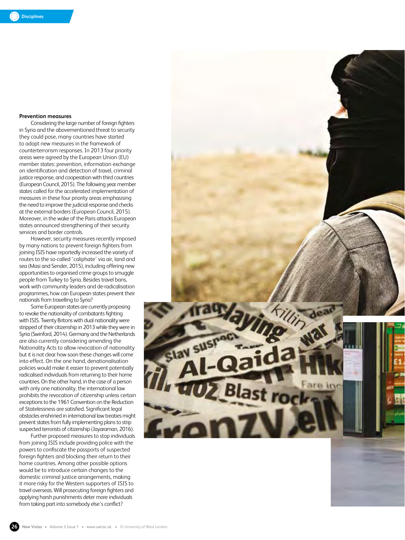# **Prevention measures**

Considering the large number of foreign fighters in Syria and the abovementioned threat to security they could pose, many countries have started to adopt new measures in the framework of counterterrorism responses. In 2013 four priority areas were agreed by the European Union (EU) member states: prevention, information exchange on identification and detection of travel, criminal justice response, and cooperation with third countries (European Council, 2015). The following year member states called for the accelerated implementation of measures in these four priority areas emphasising the need to improve the judicial response and checks at the external borders (European Council, 2015). Moreover, in the wake of the Paris attacks European states announced strengthening of their security services and border controls.

However, security measures recently imposed by many nations to prevent foreign fighters from joining ISIS have reportedly increased the variety of routes to the so-called 'caliphate' via air, land and sea (Masi and Sender, 2015), including offering new opportunities to organised crime groups to smuggle people from Turkey to Syria. Besides travel bans, work with community leaders and de-radicalisation programmes, how can European states prevent their nationals from travelling to Syria?

Some European states are currently proposing to revoke the nationality of combatants fighting with ISIS. Twenty Britons with dual nationality were stripped of their citizenship in 2013 while they were in Syria (Swinford, 2014). Germany and the Netherlands are also currently considering amending the Nationality Acts to allow revocation of nationality but it is not clear how soon these changes will come into effect. On the one hand, denationalisation policies would make it easier to prevent potentially radicalised individuals from returning to their home countries. On the other hand, in the case of a person with only one nationality, the international law prohibits the revocation of citizenship unless certain exceptions to the 1961 Convention on the Reduction of Statelessness are satisfied. Significant legal obstacles enshrined in international law treaties might prevent states from fully implementing plans to strip suspected terrorists of citizenship (Jayaraman, 2016).

Further proposed measures to stop individuals from joining ISIS include providing police with the powers to confiscate the passports of suspected foreign fighters and blocking their return to their home countries. Among other possible options would be to introduce certain changes to the domestic criminal justice arrangements, making it more risky for the Western supporters of ISIS to travel overseas. Will prosecuting foreign fighters and applying harsh punishments deter more individuals from taking part into somebody else's conflict?